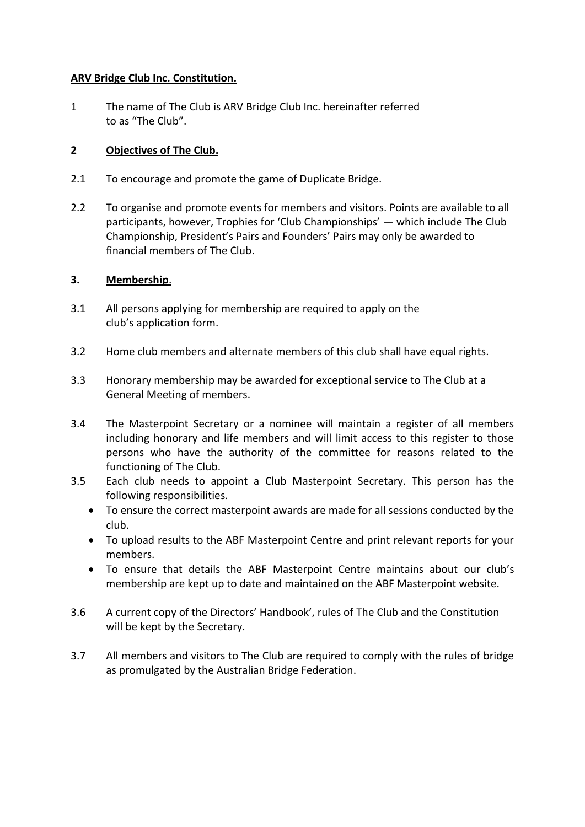## **ARV Bridge Club Inc. Constitution.**

1 The name of The Club is ARV Bridge Club Inc. hereinafter referred to as "The Club".

# **2 Objectives of The Club.**

- 2.1 To encourage and promote the game of Duplicate Bridge.
- 2.2 To organise and promote events for members and visitors. Points are available to all participants, however, Trophies for 'Club Championships' — which include The Club Championship, President's Pairs and Founders' Pairs may only be awarded to financial members of The Club.

## **3. Membership**.

- 3.1 All persons applying for membership are required to apply on the club's application form.
- 3.2 Home club members and alternate members of this club shall have equal rights.
- 3.3 Honorary membership may be awarded for exceptional service to The Club at a General Meeting of members.
- 3.4 The Masterpoint Secretary or a nominee will maintain a register of all members including honorary and life members and will limit access to this register to those persons who have the authority of the committee for reasons related to the functioning of The Club.
- 3.5 Each club needs to appoint a Club Masterpoint Secretary. This person has the following responsibilities.
	- To ensure the correct masterpoint awards are made for all sessions conducted by the club.
	- To upload results to the ABF Masterpoint Centre and print relevant reports for your members.
	- To ensure that details the ABF Masterpoint Centre maintains about our club's membership are kept up to date and maintained on the ABF Masterpoint website.
- 3.6 A current copy of the Directors' Handbook', rules of The Club and the Constitution will be kept by the Secretary.
- 3.7 All members and visitors to The Club are required to comply with the rules of bridge as promulgated by the Australian Bridge Federation.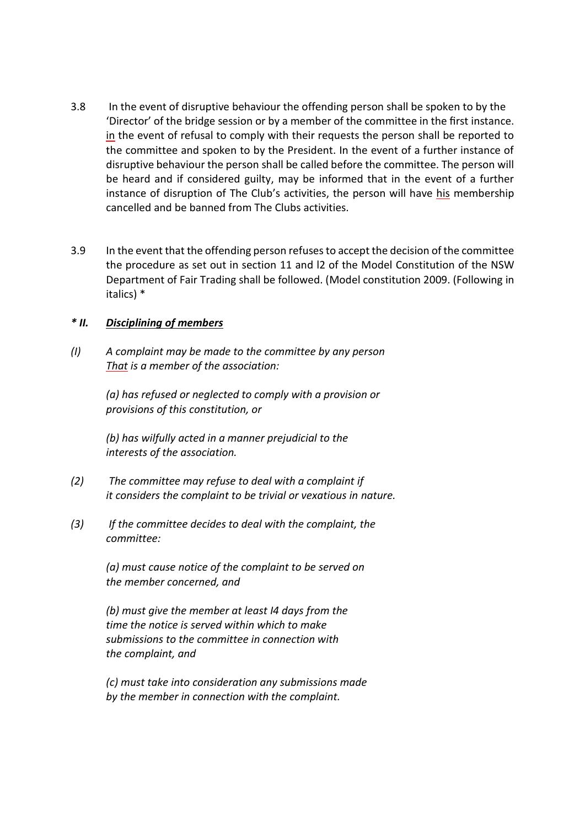- 3.8 In the event of disruptive behaviour the offending person shall be spoken to by the 'Director' of the bridge session or by a member of the committee in the first instance. in the event of refusal to comply with their requests the person shall be reported to the committee and spoken to by the President. In the event of a further instance of disruptive behaviour the person shall be called before the committee. The person will be heard and if considered guilty, may be informed that in the event of a further instance of disruption of The Club's activities, the person will have his membership cancelled and be banned from The Clubs activities.
- 3.9 In the event that the offending person refuses to accept the decision of the committee the procedure as set out in section 11 and l2 of the Model Constitution of the NSW Department of Fair Trading shall be followed. (Model constitution 2009. (Following in italics) \*

## *\* II. Disciplining of members*

*(I) A complaint may be made to the committee by any person That is a member of the association:*

> *(a) has refused or neglected to comply with a provision or provisions of this constitution, or*

*(b) has wilfully acted in a manner prejudicial to the interests of the association.*

- *(2) The committee may refuse to deal with a complaint if it considers the complaint to be trivial or vexatious in nature.*
- *(3) If the committee decides to deal with the complaint, the committee:*

*(a) must cause notice of the complaint to be served on the member concerned, and*

*(b) must give the member at least I4 days from the time the notice is served within which to make submissions to the committee in connection with the complaint, and*

*(c) must take into consideration any submissions made by the member in connection with the complaint.*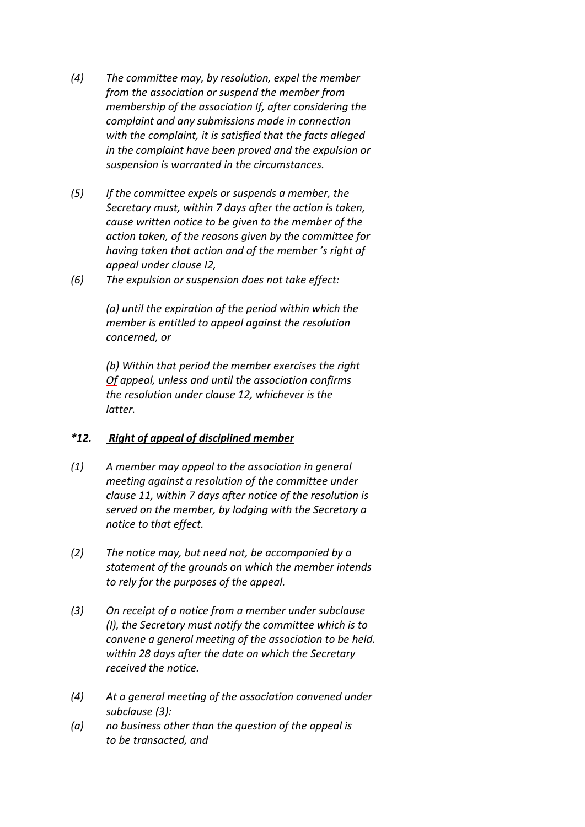- *(4) The committee may, by resolution, expel the member from the association or suspend the member from membership of the association If, after considering the complaint and any submissions made in connection with the complaint, it is satisfied that the facts alleged in the complaint have been proved and the expulsion or suspension is warranted in the circumstances.*
- *(5) If the committee expels or suspends a member, the Secretary must, within 7 days after the action is taken, cause written notice to be given to the member of the action taken, of the reasons given by the committee for having taken that action and of the member 's right of appeal under clause I2,*
- *(6) The expulsion or suspension does not take effect:*

*(a) until the expiration of the period within which the member is entitled to appeal against the resolution concerned, or*

*(b) Within that period the member exercises the right Of appeal, unless and until the association confirms the resolution under clause 12, whichever is the latter.*

### *\*12. Right of appeal of disciplined member*

- *(1) A member may appeal to the association in general meeting against a resolution of the committee under clause 11, within 7 days after notice of the resolution is served on the member, by lodging with the Secretary a notice to that effect.*
- *(2) The notice may, but need not, be accompanied by a statement of the grounds on which the member intends to rely for the purposes of the appeal.*
- *(3) On receipt of a notice from a member under subclause (I), the Secretary must notify the committee which is to convene a general meeting of the association to be held. within 28 days after the date on which the Secretary received the notice.*
- *(4) At a general meeting of the association convened under subclause (3):*
- *(a) no business other than the question of the appeal is to be transacted, and*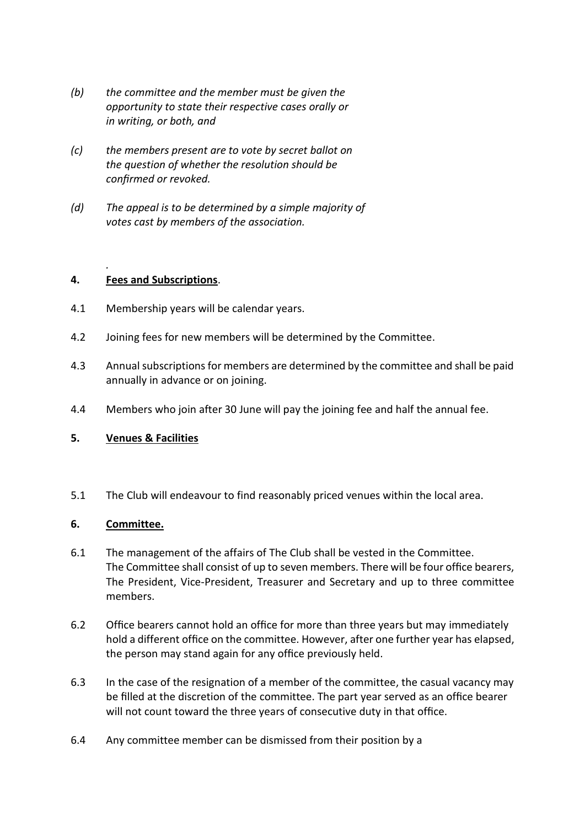- *(b) the committee and the member must be given the opportunity to state their respective cases orally or in writing, or both, and*
- *(c) the members present are to vote by secret ballot on the question of whether the resolution should be confirmed or revoked.*
- *(d) The appeal is to be determined by a simple majority of votes cast by members of the association.*

# **4. Fees and Subscriptions**.

*.*

- 4.1 Membership years will be calendar years.
- 4.2 Joining fees for new members will be determined by the Committee.
- 4.3 Annual subscriptions for members are determined by the committee and shall be paid annually in advance or on joining.
- 4.4 Members who join after 30 June will pay the joining fee and half the annual fee.

### **5. Venues & Facilities**

5.1 The Club will endeavour to find reasonably priced venues within the local area.

### **6. Committee.**

- 6.1 The management of the affairs of The Club shall be vested in the Committee. The Committee shall consist of up to seven members. There will be four office bearers, The President, Vice-President, Treasurer and Secretary and up to three committee members.
- 6.2 Office bearers cannot hold an office for more than three years but may immediately hold a different office on the committee. However, after one further year has elapsed, the person may stand again for any office previously held.
- 6.3 In the case of the resignation of a member of the committee, the casual vacancy may be filled at the discretion of the committee. The part year served as an office bearer will not count toward the three years of consecutive duty in that office.
- 6.4 Any committee member can be dismissed from their position by a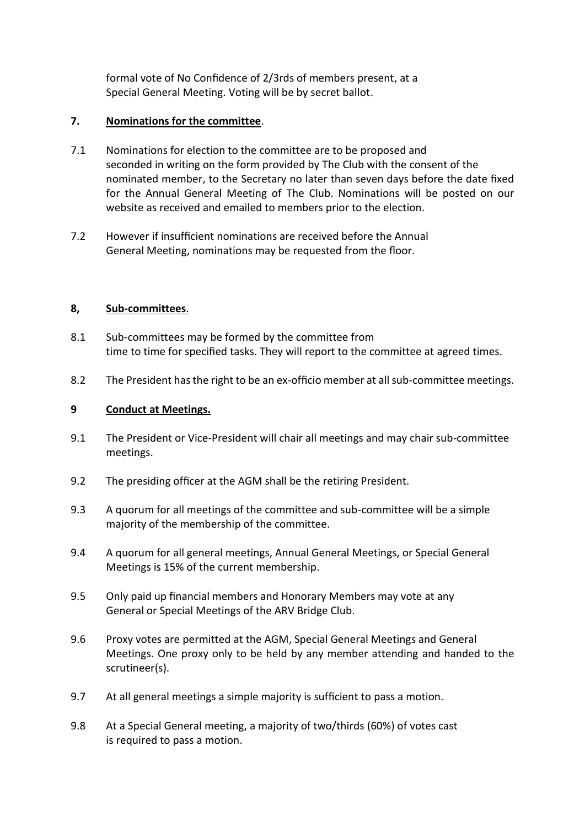formal vote of No Confidence of 2/3rds of members present, at a Special General Meeting. Voting will be by secret ballot.

# **7. Nominations for the committee**.

- 7.1 Nominations for election to the committee are to be proposed and seconded in writing on the form provided by The Club with the consent of the nominated member, to the Secretary no later than seven days before the date fixed for the Annual General Meeting of The Club. Nominations will be posted on our website as received and emailed to members prior to the election.
- 7.2 However if insufficient nominations are received before the Annual General Meeting, nominations may be requested from the floor.

# **8, Sub-committees**.

- 8.1 Sub-committees may be formed by the committee from time to time for specified tasks. They will report to the committee at agreed times.
- 8.2 The President has the right to be an ex-officio member at all sub-committee meetings.

# **9 Conduct at Meetings.**

- 9.1 The President or Vice-President will chair all meetings and may chair sub-committee meetings.
- 9.2 The presiding officer at the AGM shall be the retiring President.
- 9.3 A quorum for all meetings of the committee and sub-committee will be a simple majority of the membership of the committee.
- 9.4 A quorum for all general meetings, Annual General Meetings, or Special General Meetings is 15% of the current membership.
- 9.5 Only paid up financial members and Honorary Members may vote at any General or Special Meetings of the ARV Bridge Club.
- 9.6 Proxy votes are permitted at the AGM, Special General Meetings and General Meetings. One proxy only to be held by any member attending and handed to the scrutineer(s).
- 9.7 At all general meetings a simple majority is sufficient to pass a motion.
- 9.8 At a Special General meeting, a majority of two/thirds (60%) of votes cast is required to pass a motion.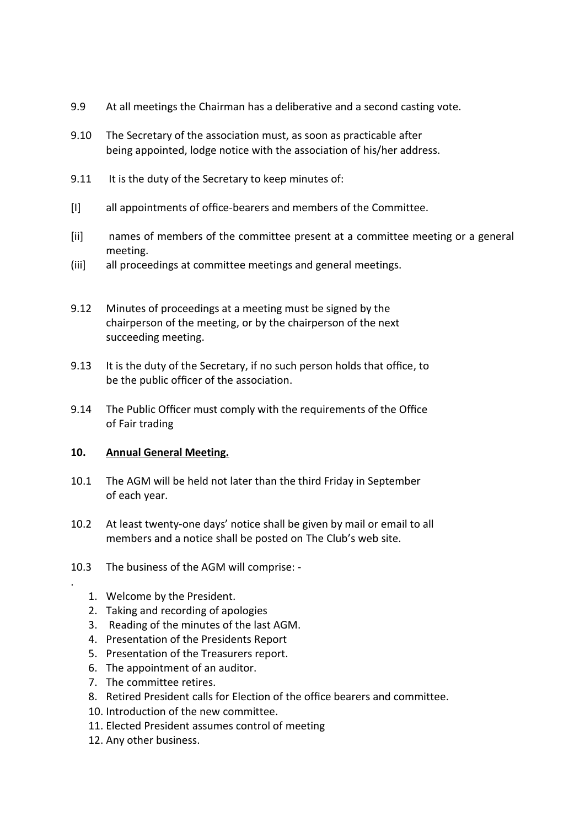- 9.9 At all meetings the Chairman has a deliberative and a second casting vote.
- 9.10 The Secretary of the association must, as soon as practicable after being appointed, lodge notice with the association of his/her address.
- 9.11 It is the duty of the Secretary to keep minutes of:
- [I] all appointments of office-bearers and members of the Committee.
- [ii] names of members of the committee present at a committee meeting or a general meeting.
- (iii] all proceedings at committee meetings and general meetings.
- 9.12 Minutes of proceedings at a meeting must be signed by the chairperson of the meeting, or by the chairperson of the next succeeding meeting.
- 9.13 It is the duty of the Secretary, if no such person holds that office, to be the public officer of the association.
- 9.14 The Public Officer must comply with the requirements of the Office of Fair trading

### **10. Annual General Meeting.**

- 10.1 The AGM will be held not later than the third Friday in September of each year.
- 10.2 At least twenty-one days' notice shall be given by mail or email to all members and a notice shall be posted on The Club's web site.
- 10.3 The business of the AGM will comprise:
	- 1. Welcome by the President.

.

- 2. Taking and recording of apologies
- 3. Reading of the minutes of the last AGM.
- 4. Presentation of the Presidents Report
- 5. Presentation of the Treasurers report.
- 6. The appointment of an auditor.
- 7. The committee retires.
- 8. Retired President calls for Election of the office bearers and committee.
- 10. Introduction of the new committee.
- 11. Elected President assumes control of meeting
- 12. Any other business.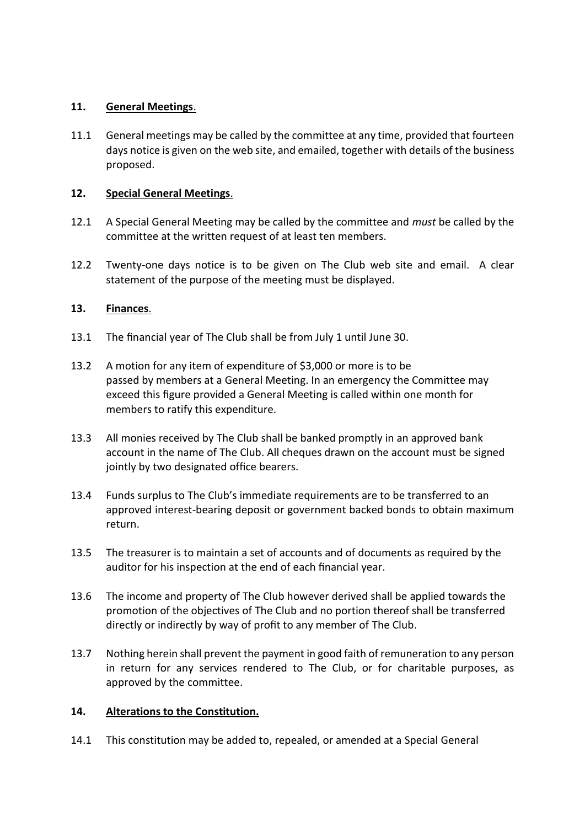# **11. General Meetings**.

11.1 General meetings may be called by the committee at any time, provided that fourteen days notice is given on the web site, and emailed, together with details of the business proposed.

# **12. Special General Meetings**.

- 12.1 A Special General Meeting may be called by the committee and *must* be called by the committee at the written request of at least ten members.
- 12.2 Twenty-one days notice is to be given on The Club web site and email. A clear statement of the purpose of the meeting must be displayed.

## **13. Finances**.

- 13.1 The financial year of The Club shall be from July 1 until June 30.
- 13.2 A motion for any item of expenditure of \$3,000 or more is to be passed by members at a General Meeting. In an emergency the Committee may exceed this figure provided a General Meeting is called within one month for members to ratify this expenditure.
- 13.3 All monies received by The Club shall be banked promptly in an approved bank account in the name of The Club. All cheques drawn on the account must be signed jointly by two designated office bearers.
- 13.4 Funds surplus to The Club's immediate requirements are to be transferred to an approved interest-bearing deposit or government backed bonds to obtain maximum return.
- 13.5 The treasurer is to maintain a set of accounts and of documents as required by the auditor for his inspection at the end of each financial year.
- 13.6 The income and property of The Club however derived shall be applied towards the promotion of the objectives of The Club and no portion thereof shall be transferred directly or indirectly by way of profit to any member of The Club.
- 13.7 Nothing herein shall prevent the payment in good faith of remuneration to any person in return for any services rendered to The Club, or for charitable purposes, as approved by the committee.

### **14. Alterations to the Constitution.**

14.1 This constitution may be added to, repealed, or amended at a Special General